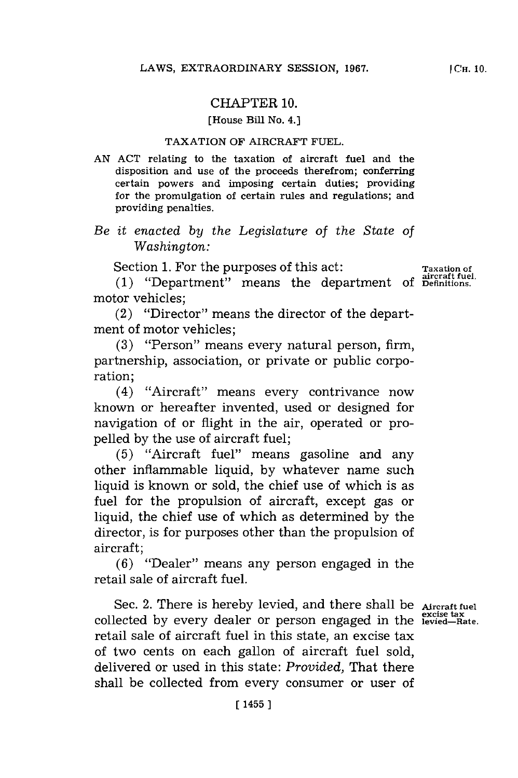## CHAPTER **10.**

#### [House Bill No. 4.]

### TAXATION OF AIRCRAFT **FUEL.**

**AN ACT** relating to the taxation of aircraft fuel and the disposition and use of the proceeds therefrom; conferring certain powers and imposing certain duties; providing for the promulgation of certain rules and regulations; and providing penalties.

# *Be it enacted by the Legislature of the State of Washington:*

Section 1. For the purposes of this act: Taxation of

**aircraft fuel. (1)** "Department" means the department **of Definitions.** motor vehicles;

(2) "Director" means the director of the department of motor vehicles;

**(3)** "Person" means every natural person, firm, partnership, association, or private or public corporation;

(4) "Aircraft" means every contrivance now known or hereafter invented, used or designed for navigation of or flight in the air, operated or propelled **by** the use of aircraft fuel;

**(5)** "Aircraft fuel" means gasoline and any other inflammable liquid, **by** whatever name such liquid is known or sold, the chief use of which is as fuel for the propulsion of aircraft, except gas or liquid, the chief use of which as determined **by** the director, is for purposes other than the propulsion of aircraft;

**(6)** "Dealer" means any person engaged in the retail sale of aircraft fuel.

Sec. 2. There is hereby levied, and there shall be **Aircraft fuel excise tax** collected **by** every dealer or person engaged in the **levied-Rate.** retail sale of aircraft fuel in this state, an excise tax of two cents on each gallon of aircraft fuel sold, delivered or used in this state: *Provided,* That there shall be collected from every consumer or user of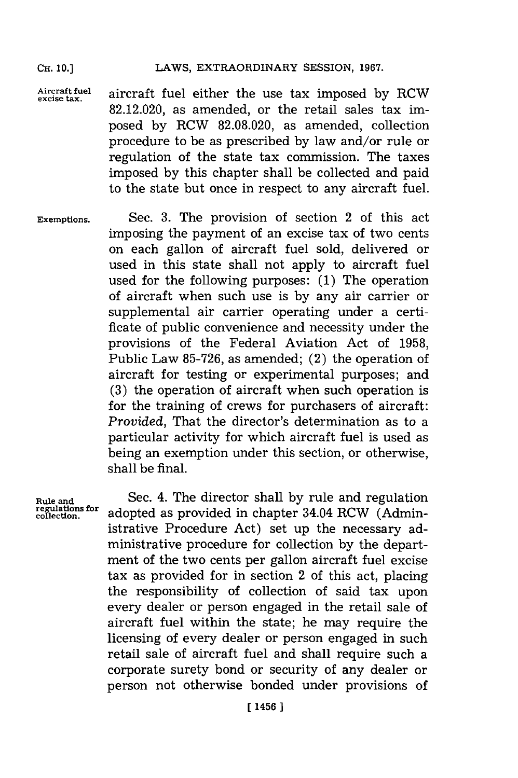OH. **10.]** LAWS, EXTRAORDINARY **SESSION, 1967.**

**Aircraft fuel excise tax.** aircraft fuel either the use tax imposed **by** RCW **82.12.020,** as amended, or the retail sales tax imposed **by** RCW **82.08.020,** as amended, collection procedure to be as prescribed **by** law and/or rule or regulation of the state tax commission. The taxes imposed **by** this chapter shall be collected and paid to the state but once in respect to any aircraft fuel.

**Exemptions.** Sec. **3.** The provision of section 2 of this act imposing the payment of an excise tax of two cents on each gallon of aircraft fuel sold, delivered or used in this state shall not apply to aircraft fuel used for the following purposes: **(1)** The operation of aircraft when such use is **by** any air carrier or supplemental air carrier operating under a certificate of public convenience and necessity under the provisions of the Federal Aviation Act of **1958,** Public Law **85-726,** as amended; (2) the operation of aircraft for testing or experimental purposes; and **(3)** the operation of aircraft when such operation is for the training of crews for purchasers of aircraft: *Provided,* That the director's determination as to a particular activity for which aircraft fuel is used as being an exemption under this section, or otherwise, shall be final.

**Rule and regulations for co 1lection.**

Sec. 4. The director shall **by** rule and regulation adopted as provided in chapter 34.04 RCW (Administrative Procedure Act) set up the necessary administrative procedure for collection **by** the department of the two cents per gallon aircraft fuel excise tax as provided for in section 2 of this act, placing the responsibility of collection of said tax upon every dealer or person engaged in the retail sale of aircraft fuel within the state; he may require the licensing of every dealer or person engaged in such retail sale of aircraft fuel and shall require such a corporate surety bond or security of any dealer or person not otherwise bonded under provisions of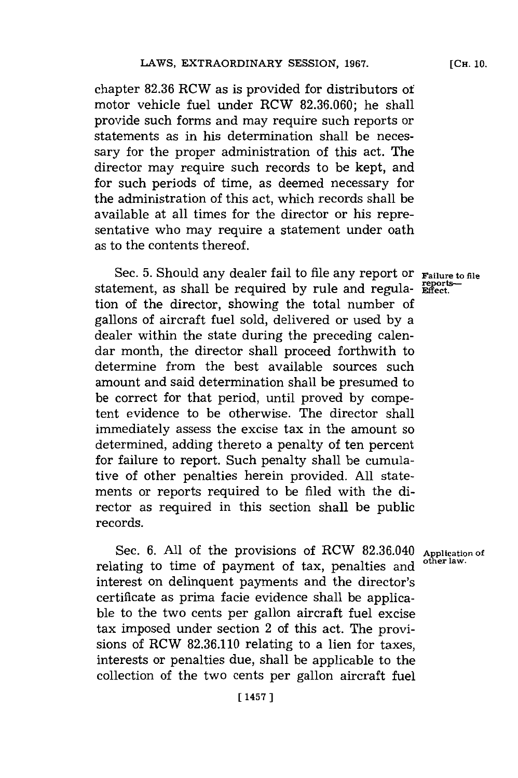chapter **82.36** RCW as is provided for distributors of motor vehicle fuel under ROW **82.36.060;** he shall provide such forms and may require such reports or statements as in his determination shall be necessary for the proper administration of this act. The director may require such records to be kept, and for such periods of time, as deemed necessary for the administration of this act, which records shall be available at all times for the director or his representative who may require a statement under oath as to the contents thereof.

Sec. **5.** Should any dealer fail to file any report or **Failure to file** statement, as shall be required by rule and regula- **Effect**. tion of the director, showing the total number of gallons of aircraft fuel sold, delivered or used **by** a dealer within the state during the preceding calendar month, the director shall proceed forthwith to determine from the best available sources such amount and said determination shall be presumed to be correct for that period, until proved **by** competent evidence to be otherwise. The director shall immediately assess the excise tax in the amount so determined, adding thereto a penalty of ten percent for failure to report. Such penalty shall be cumulative of other penalties herein provided. **All** statements or reports required to be filed with the director as required in this section shall be public records.

Sec. 6. All of the provisions of RCW 82.36.040 Application of relating to time of payment of tax, penalties and interest on delinquent payments and the director's certificate as prima facie evidence shall be applicable to the two cents per gallon aircraft fuel excise tax imposed under section 2 of this act. The provisions of ROW **82.36.110** relating to a lien for taxes, interests or penalties due, shall be applicable to the collection of the two cents per gallon aircraft fuel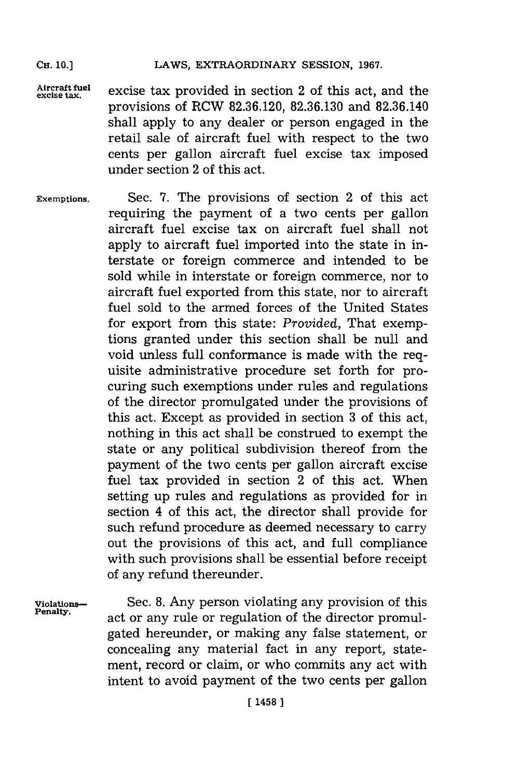### LAWS, EXTRAORDINARY SESSION, 1967.

Aircraft fuel excise tax provided in section 2 of this act, and the provisions of ROW **82.36.120, 82.36.130** and **82.36.140** shall apply to any dealer or person engaged in the retail sale of aircraft fuel with respect to the two cents per gallon aircraft fuel excise tax imposed under section 2 of this act.

**Exemptions.** Sec. **7.** The provisions of section 2 of this act requiring the payment of a two cents per gallon aircraft fuel excise tax on aircraft fuel shall not apply to aircraft fuel imported into the state in interstate or foreign commerce and intended to be sold while in interstate or foreign commerce, nor to aircraft fuel exported from this state, nor to aircraft fuel sold to the armed forces of the United States for export from this state: *Provided,* That exemptions granted under this section shall be null and void unless full conformance is made with the requisite administrative procedure set forth for procuring such exemptions under rules and regulations of the director promulgated under the provisions of this act. Except as provided in section **3** of this act, nothing in this act shall be construed to exempt the state or any political subdivision thereof from the payment of the two cents per gallon aircraft excise fuel tax provided in section 2 of this act. When setting up rules and regulations as provided for in section 4 of this act, the director shall provide for such refund procedure as deemed necessary to carry out the provisions of this act, and full compliance with such provisions shall be essential before receipt of any refund thereunder.

**CH. 10.]**

**Violations-** Sec. **8. Any** person violating any provision of this act or any rule or regulation of the director promulgated hereunder, or making any false statement, or concealing any material fact in any report, statement, record or claim, or who commits any act with intent to avoid payment of the two cents per gallon